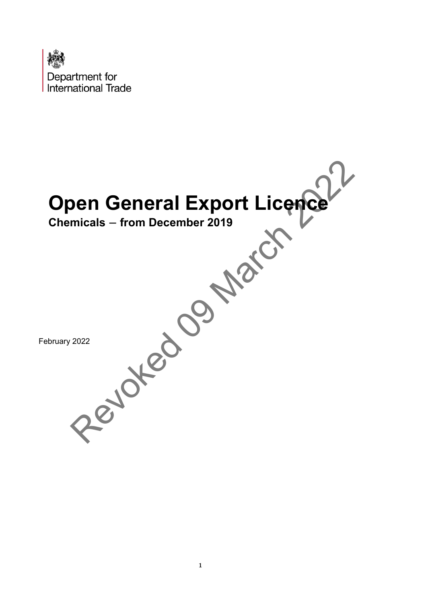

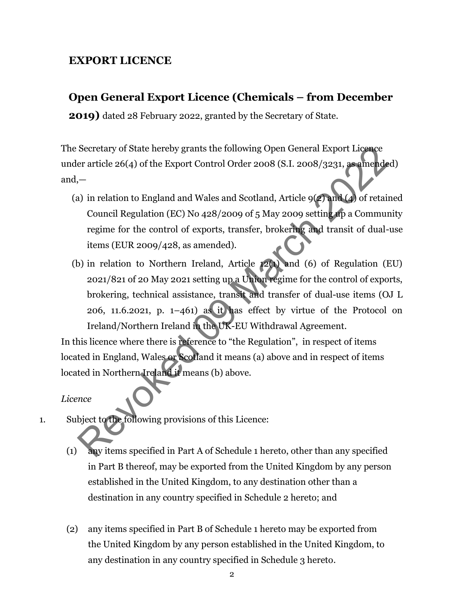## **EXPORT LICENCE**

## **Open General Export Licence (Chemicals – from December**

**2019)** dated 28 February 2022, granted by the Secretary of State.

The Secretary of State hereby grants the following Open General Export Licence under article 26(4) of the Export Control Order 2008 (S.I. 2008/3231, as amended) and,—

- (a) in relation to England and Wales and Scotland, Article 9(2) and (4) of retained Council Regulation (EC) No 428/2009 of 5 May 2009 setting up a Community regime for the control of exports, transfer, brokering and transit of dual-use items (EUR 2009/428, as amended).
- (b) in relation to Northern Ireland, Article 12(1) and (6) of Regulation (EU) 2021/821 of 20 May 2021 setting up a Union regime for the control of exports, brokering, technical assistance, transit and transfer of dual-use items (OJ L 206, 11.6.2021, p.  $1-461$ ) as it has effect by virtue of the Protocol on Ireland/Northern Ireland in the UK-EU Withdrawal Agreement. Secretary of State hereby grants the following Open General Export Licence<br>
er article 26(4) of the Export Control Order 2008 (S.I. 2008/3231, **assumende**<br>  $\begin{bmatrix} - \\ - \\ - \end{bmatrix}$  in relation to England and Wales and Scotland

In this licence where there is reference to "the Regulation", in respect of items located in England, Wales or Scotland it means (a) above and in respect of items located in Northern Ireland it means (b) above.

#### *Licence*

- 1. Subject to the following provisions of this Licence:
	- (1) any items specified in Part A of Schedule 1 hereto, other than any specified in Part B thereof, may be exported from the United Kingdom by any person established in the United Kingdom, to any destination other than a destination in any country specified in Schedule 2 hereto; and
	- (2) any items specified in Part B of Schedule 1 hereto may be exported from the United Kingdom by any person established in the United Kingdom, to any destination in any country specified in Schedule 3 hereto.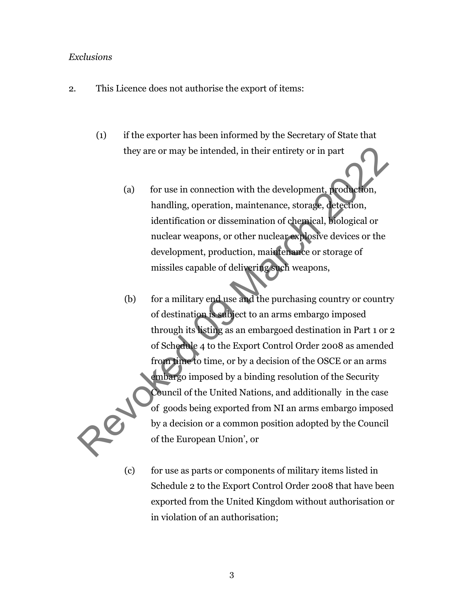#### *Exclusions*

- 2. This Licence does not authorise the export of items:
	- (1) if the exporter has been informed by the Secretary of State that they are or may be intended, in their entirety or in part
		- (a) for use in connection with the development, production, handling, operation, maintenance, storage, detection, identification or dissemination of chemical, biological or nuclear weapons, or other nuclear explosive devices or the development, production, maintenance or storage of missiles capable of delivering such weapons,
	- (b) for a military end use and the purchasing country or country of destination is subject to an arms embargo imposed through its listing as an embargoed destination in Part 1 or 2 of Schedule 4 to the Export Control Order 2008 as amended from time to time, or by a decision of the OSCE or an arms embargo imposed by a binding resolution of the Security Council of the United Nations, and additionally in the case of goods being exported from NI an arms embargo imposed by a decision or a common position adopted by the Council of the European Union', or they are or may be intended, in their entirety or in part<br>
	(a) for use in connection with the development, production,<br>
	handling, operation, maintenance, storage, detection,<br>
	identification or dissemination of chemical, bi
		- (c) for use as parts or components of military items listed in Schedule 2 to the Export Control Order 2008 that have been exported from the United Kingdom without authorisation or in violation of an authorisation;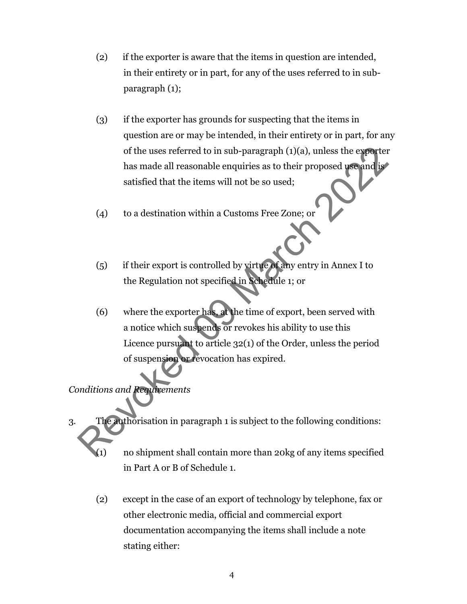- (2) if the exporter is aware that the items in question are intended, in their entirety or in part, for any of the uses referred to in subparagraph (1);
- (3) if the exporter has grounds for suspecting that the items in question are or may be intended, in their entirety or in part, for any of the uses referred to in sub-paragraph (1)(a), unless the exporter has made all reasonable enquiries as to their proposed use and is satisfied that the items will not be so used;
- (4) to a destination within a Customs Free Zone; or
- (5) if their export is controlled by virtue of any entry in Annex I to the Regulation not specified in Schedule 1; or
- (6) where the exporter has, at the time of export, been served with a notice which suspends or revokes his ability to use this Licence pursuant to article 32(1) of the Order, unless the period of suspension or revocation has expired. of the uses referred to in sub-paragraph (1)(a), unless the exporter<br>has made all reasonable enquiries as to their proposed used in<br>satisfied that the items will not be so used;<br>(4) to a destination within a Customs Free

*Conditions and Requirements*

- 3. The authorisation in paragraph 1 is subject to the following conditions:
	- (1) no shipment shall contain more than 20kg of any items specified in Part A or B of Schedule 1.
	- (2) except in the case of an export of technology by telephone, fax or other electronic media, official and commercial export documentation accompanying the items shall include a note stating either: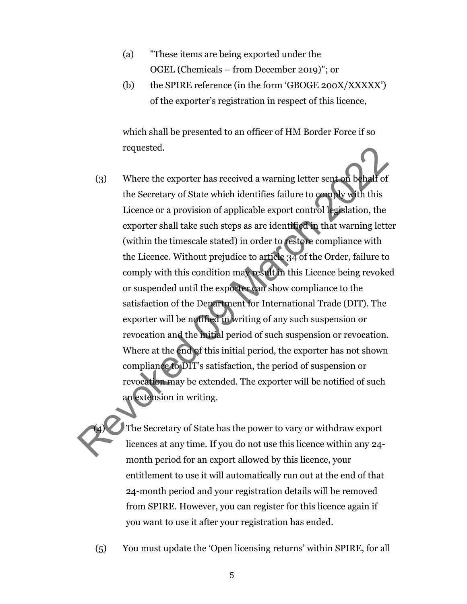- (a) "These items are being exported under the OGEL (Chemicals – from December 2019)"; or
- (b) the SPIRE reference (in the form 'GBOGE 200X/XXXXX') of the exporter's registration in respect of this licence,

which shall be presented to an officer of HM Border Force if so requested.

(3) Where the exporter has received a warning letter sent on behalf of the Secretary of State which identifies failure to comply with this Licence or a provision of applicable export control legislation, the exporter shall take such steps as are identified in that warning letter (within the timescale stated) in order to restore compliance with the Licence. Without prejudice to article 34 of the Order, failure to comply with this condition may result in this Licence being revoked or suspended until the exporter can show compliance to the satisfaction of the Department for International Trade (DIT). The exporter will be notified in writing of any such suspension or revocation and the initial period of such suspension or revocation. Where at the end of this initial period, the exporter has not shown compliance to DIT's satisfaction, the period of suspension or revocation may be extended. The exporter will be notified of such an extension in writing. requested.<br>
(3) Where the exporter has received a warning letter sent on behall of<br>
the Secretary of State which identifies failure to complex with this<br>
Licence or a provision of applicable export control legislation, the

The Secretary of State has the power to vary or withdraw export licences at any time. If you do not use this licence within any 24 month period for an export allowed by this licence, your entitlement to use it will automatically run out at the end of that 24-month period and your registration details will be removed from SPIRE. However, you can register for this licence again if you want to use it after your registration has ended.

(5) You must update the 'Open licensing returns' within SPIRE, for all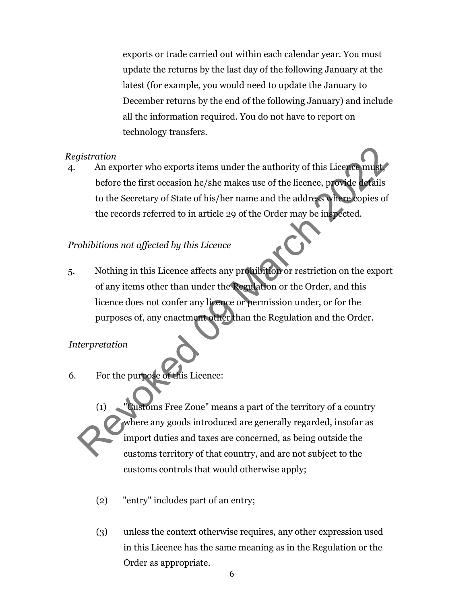exports or trade carried out within each calendar year. You must update the returns by the last day of the following January at the latest (for example, you would need to update the January to December returns by the end of the following January) and include all the information required. You do not have to report on technology transfers.

#### *Registration*

4. An exporter who exports items under the authority of this Licence must before the first occasion he/she makes use of the licence, provide details to the Secretary of State of his/her name and the address where copies of the records referred to in article 29 of the Order may be inspected.

### *Prohibitions not affected by this Licence*

5. Nothing in this Licence affects any prohibition or restriction on the export of any items other than under the Regulation or the Order, and this licence does not confer any licence or permission under, or for the purposes of, any enactment other than the Regulation and the Order. Fistration<br>
An exporter who exports items under the authority of this Licence must<br>
before the first occasion he/she makes use of the licence, provide defails<br>
to the Secretary of State of his/her name and the address wher

### *Interpretation*

- 6. For the purpose of this Licence:
	- (1) "Customs Free Zone" means a part of the territory of a country where any goods introduced are generally regarded, insofar as import duties and taxes are concerned, as being outside the customs territory of that country, and are not subject to the customs controls that would otherwise apply;
		- (2) "entry" includes part of an entry;
		- (3) unless the context otherwise requires, any other expression used in this Licence has the same meaning as in the Regulation or the Order as appropriate.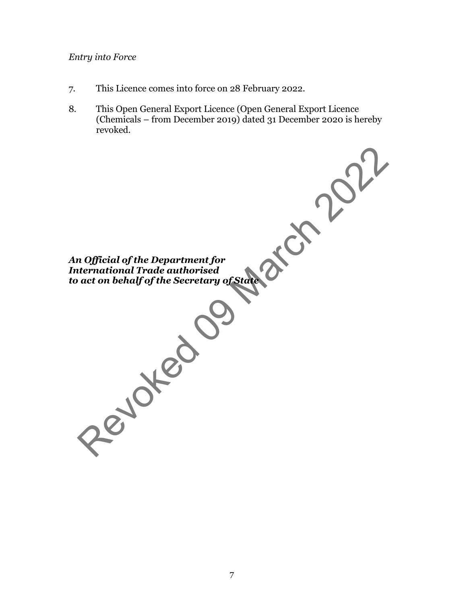### *Entry into Force*

- 7. This Licence comes into force on 28 February 2022.
- 8. This Open General Export Licence (Open General Export Licence (Chemicals – from December 2019) dated 31 December 2020 is hereby revoked.

*An Official of the Department for International Trade authorised to act on behalf of the Secretary of State* n official of the Department for<br>ternational Trade authorised<br>act on behalf of the Secretary of State<br>Control of the Secretary<br>of Secretary<br>of Secretary<br> $\frac{1}{2}$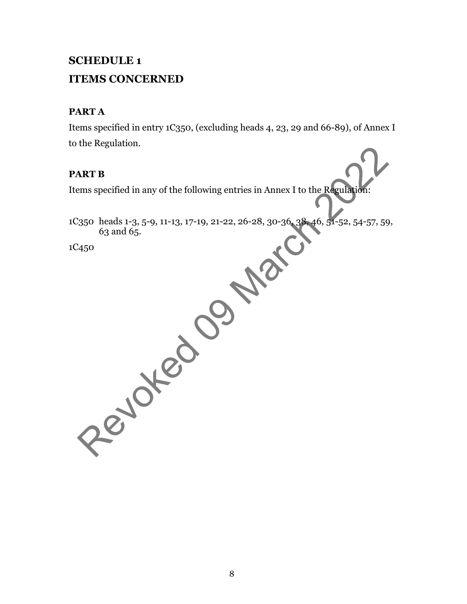# **SCHEDULE 1 ITEMS CONCERNED**

## **PART A**

Items specified in entry 1C350, (excluding heads 4, 23, 29 and 66-89), of Annex I to the Regulation.

## **PART B**

Items specified in any of the following entries in Annex I to the Regulation:

1C350 heads 1-3, 5-9, 11-13, 17-19, 21-22, 26-28, 30-36, 38, 46, 51-52, 54-57, 59, 63 and 65. ART B<br>
ART B<br>
ems specified in any of the following entries in Annex I to the Regularity<br>
63 and 65.<br>
450<br>
450<br>
2022<br>
2022<br>
2022<br>
2022<br>
2022<br>
2022<br>
2022<br>
2022<br>
2022<br>
2022<br>
2022<br>
2022<br>
2022<br>
2022<br>
2022<br>
2022<br>
2022<br>
2022<br>
20

1C450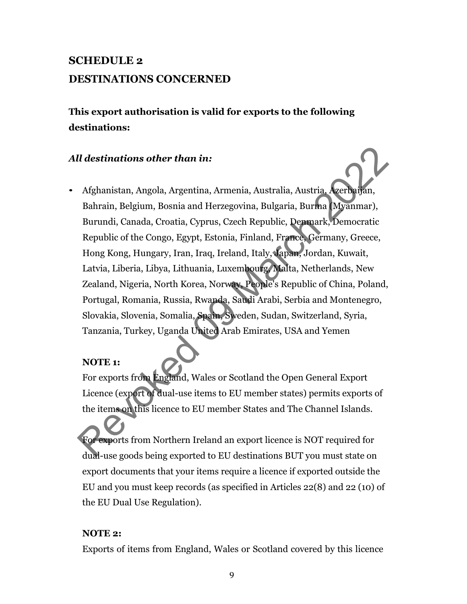# **SCHEDULE 2 DESTINATIONS CONCERNED**

**This export authorisation is valid for exports to the following destinations:**

## *All destinations other than in:*

• Afghanistan, Angola, Argentina, Armenia, Australia, Austria, Azerbaijan, Bahrain, Belgium, Bosnia and Herzegovina, Bulgaria, Burma (Myanmar), Burundi, Canada, Croatia, Cyprus, Czech Republic, Denmark, Democratic Republic of the Congo, Egypt, Estonia, Finland, France, Germany, Greece, Hong Kong, Hungary, Iran, Iraq, Ireland, Italy, Japan, Jordan, Kuwait, Latvia, Liberia, Libya, Lithuania, Luxembourg, Malta, Netherlands, New Zealand, Nigeria, North Korea, Norway, People's Republic of China, Poland, Portugal, Romania, Russia, Rwanda, Saudi Arabi, Serbia and Montenegro, Slovakia, Slovenia, Somalia, Spain, Sweden, Sudan, Switzerland, Syria, Tanzania, Turkey, Uganda United Arab Emirates, USA and Yemen Il destinations other than in:<br>
Afghanistan, Angola, Argentina, Armenia, Australia, Austria, Acerbarian, Bahrain, Belgium, Bosnia and Herzegovina, Bulgaria, Burma (Myanmar),<br>
Burundi, Canada, Croatia, Cyprus, Czech Republi

## **NOTE 1:**

For exports from England, Wales or Scotland the Open General Export Licence (export of dual-use items to EU member states) permits exports of the items on this licence to EU member States and The Channel Islands.

For exports from Northern Ireland an export licence is NOT required for dual-use goods being exported to EU destinations BUT you must state on export documents that your items require a licence if exported outside the EU and you must keep records (as specified in Articles 22(8) and 22 (10) of the EU Dual Use Regulation).

### **NOTE 2:**

Exports of items from England, Wales or Scotland covered by this licence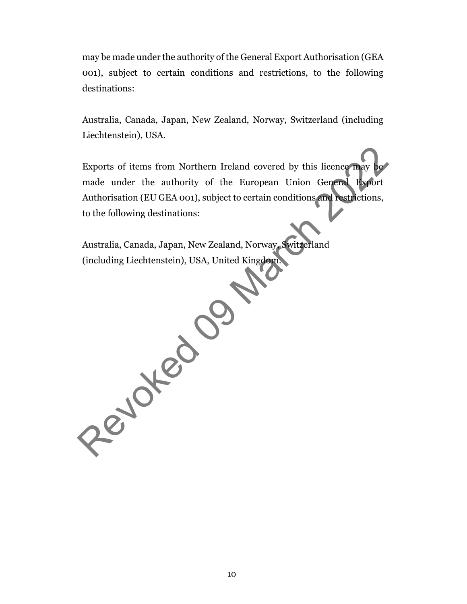may be made under the authority of the General Export Authorisation (GEA 001), subject to certain conditions and restrictions, to the following destinations:

Australia, Canada, Japan, New Zealand, Norway, Switzerland (including Liechtenstein), USA.

Exports of items from Northern Ireland covered by this licence may be made under the authority of the European Union General Export Authorisation (EU GEA 001), subject to certain conditions and restrictions, to the following destinations:

Australia, Canada, Japan, New Zealand, Norway, Switzerland (including Liechtenstein), USA, United Kingdom.

Peydred 0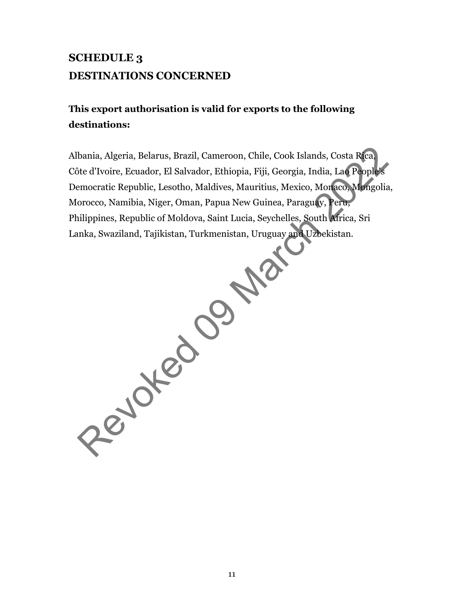# **SCHEDULE 3 DESTINATIONS CONCERNED**

# **This export authorisation is valid for exports to the following destinations:**

Albania, Algeria, Belarus, Brazil, Cameroon, Chile, Cook Islands, Costa Rica, Côte d'Ivoire, Ecuador, El Salvador, Ethiopia, Fiji, Georgia, India, Lao People's Democratic Republic, Lesotho, Maldives, Mauritius, Mexico, Monaco, Mongolia, Morocco, Namibia, Niger, Oman, Papua New Guinea, Paraguay, Peru, Philippines, Republic of Moldova, Saint Lucia, Seychelles, South Africa, Sri Lanka, Swaziland, Tajikistan, Turkmenistan, Uruguay and Uzbekistan. Revolution of the Collapse de Collapse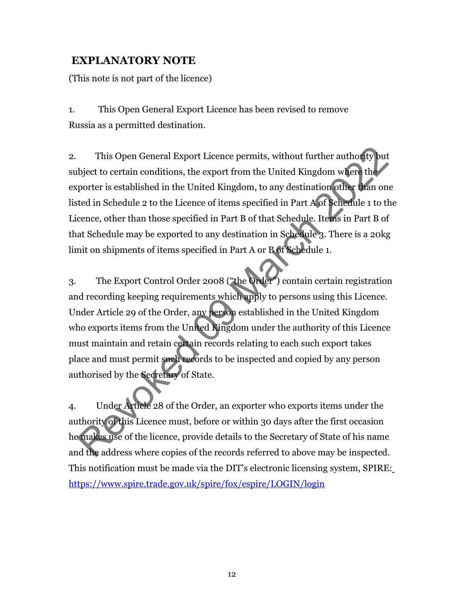## **EXPLANATORY NOTE**

(This note is not part of the licence)

1. This Open General Export Licence has been revised to remove Russia as a permitted destination.

2. This Open General Export Licence permits, without further authority but subject to certain conditions, the export from the United Kingdom where the exporter is established in the United Kingdom, to any destination other than one listed in Schedule 2 to the Licence of items specified in Part A of Schedule 1 to the Licence, other than those specified in Part B of that Schedule. Items in Part B of that Schedule may be exported to any destination in Schedule 3. There is a 20kg limit on shipments of items specified in Part A or B of Schedule 1.

3. The Export Control Order 2008 ("the Order") contain certain registration and recording keeping requirements which apply to persons using this Licence. Under Article 29 of the Order, any person established in the United Kingdom who exports items from the United Kingdom under the authority of this Licence must maintain and retain certain records relating to each such export takes place and must permit such records to be inspected and copied by any person authorised by the Secretary of State. This Open General Export Licence permits, without further authof typut<br>bject to certain conditions, the export from the United Kingdom wifere the<br>porter is established in the United Kingdom, to any destination other than<br>

4. Under Article 28 of the Order, an exporter who exports items under the authority of this Licence must, before or within 30 days after the first occasion he makes use of the licence, provide details to the Secretary of State of his name and the address where copies of the records referred to above may be inspected. This notification must be made via the DIT's electronic licensing system, SPIRE[:](https://www.spire.trade.gov.uk/spire/fox/espire/LOGIN/login) <https://www.spire.trade.gov.uk/spire/fox/espire/LOGIN/login>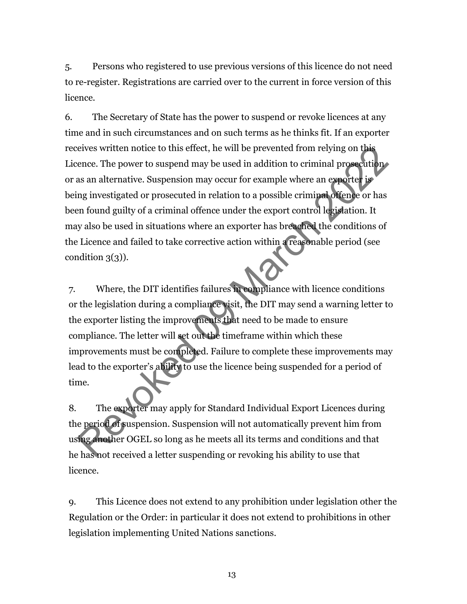5. Persons who registered to use previous versions of this licence do not need to re-register. Registrations are carried over to the current in force version of this licence.

6. The Secretary of State has the power to suspend or revoke licences at any time and in such circumstances and on such terms as he thinks fit. If an exporter receives written notice to this effect, he will be prevented from relying on this Licence. The power to suspend may be used in addition to criminal prosecution or as an alternative. Suspension may occur for example where an exporter is being investigated or prosecuted in relation to a possible criminal offence or has been found guilty of a criminal offence under the export control legislation. It may also be used in situations where an exporter has breached the conditions of the Licence and failed to take corrective action within a reasonable period (see condition  $3(3)$ ). eives written notice to this effect, he will be prevented from relying on this<br>ence. The power to suspend may be used in addition to criminal prosecution<br>as an alternative. Suspension may occur for example where an exporte

7. Where, the DIT identifies failures in compliance with licence conditions or the legislation during a compliance visit, the DIT may send a warning letter to the exporter listing the improvements that need to be made to ensure compliance. The letter will set out the timeframe within which these improvements must be completed. Failure to complete these improvements may lead to the exporter's ability to use the licence being suspended for a period of time.

8. The exporter may apply for Standard Individual Export Licences during the period of suspension. Suspension will not automatically prevent him from using another OGEL so long as he meets all its terms and conditions and that he has not received a letter suspending or revoking his ability to use that licence.

9. This Licence does not extend to any prohibition under legislation other the Regulation or the Order: in particular it does not extend to prohibitions in other legislation implementing United Nations sanctions.

13